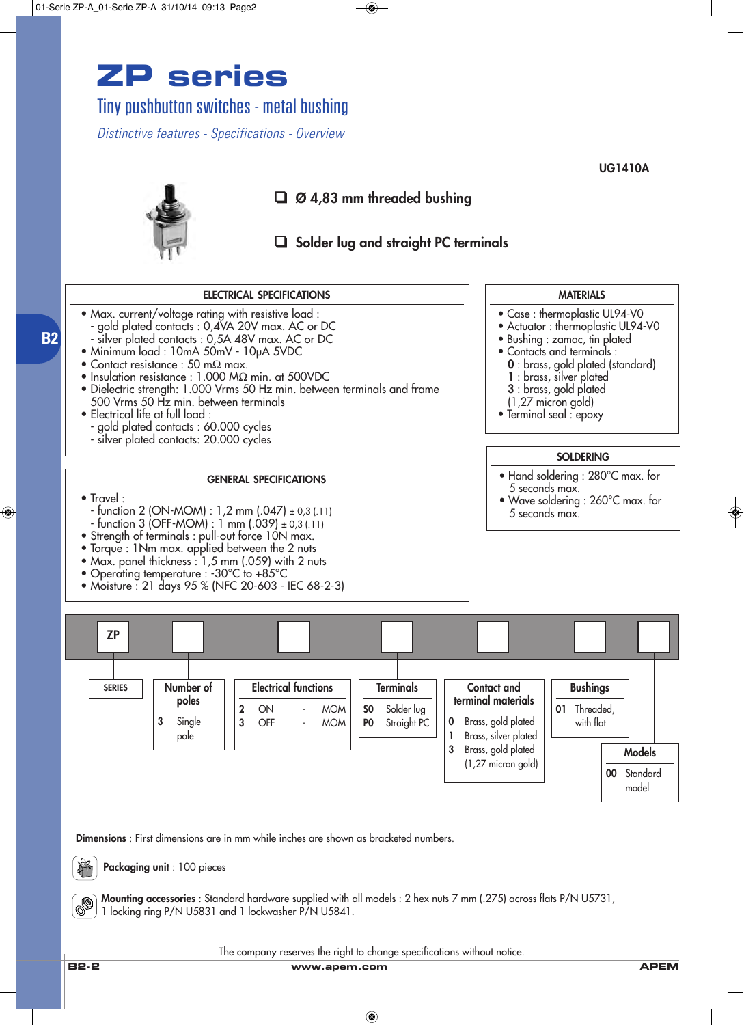## **ZP series**

Tiny pushbutton switches - metal bushing

*Distinctive features - Specifications - Overview*

**MATERIALS** • Case : thermoplastic UL94-V0 • Actuator : thermoplastic UL94-V0 • Bushing : zamac, tin plated • Contacts and terminals : **0** : brass, gold plated (standard) **1** : brass, silver plated **3** : brass, gold plated (1,27 micron gold) • Terminal seal : epoxy **GENERAL SPECIFICATIONS** • Travel :  $-$  function 2 (ON-MOM) : 1,2 mm (.047)  $\pm$  0,3 (.11)  $-$  function 3 (OFF-MOM) : 1 mm (.039)  $\pm$  0,3 (.11) • Strength of terminals : pull-out force 10N max. • Torque : 1Nm max. applied between the 2 nuts • Max. panel thickness : 1,5 mm (.059) with 2 nuts • Operating temperature : -30°C to +85°C • Moisture : 21 days 95 % (NFC 20-603 - IEC 68-2-3) **ELECTRICAL SPECIFICATIONS** • Max. current/voltage rating with resistive load : gold plated contacts : 0,4VA 20V max. AC or DC silver plated contacts : 0,5A 48V max. AC or DC • Minimum load : 10mA 50mV - 10µA 5VDC • Contact resistance : 50 mΩ max. • Insulation resistance : 1.000 MΩ min. at 500VDC • Dielectric strength: 1.000 Vrms 50 Hz min. between terminals and frame 500 Vrms 50 Hz min. between terminals • Electrical life at full load : - gold plated contacts : 60.000 cycles - silver plated contacts: 20.000 cycles **SOLDERING** • Hand soldering : 280°C max. for 5 seconds max. • Wave soldering : 260°C max. for 5 seconds max. **ZP Number of poles 3** Single pole **Electrical functions 2** ON - MOM **3** OFF - MOM **SERIES** ❑ **Ø 4,83 mm threaded bushing** ❑ **Solder lug and straight PC terminals Contact and terminal materials 0** Brass, gold plated **1** Brass, silver plated **3** Brass, gold plated (1,27 micron gold) **Bushings 01** Threaded, with flat **Models 00** Standard model **Terminals S0** Solder lug **P0** Straight PC

**Dimensions** : First dimensions are in mm while inches are shown as bracketed numbers.



**B2**

**Packaging unit** : 100 pieces

**Mounting accessories** : Standard hardware supplied with all models : 2 hex nuts 7 mm (.275) across flats P/N U5731, 1 locking ring P/N U5831 and 1 lockwasher P/N U5841.

The company reserves the right to change specifications without notice.

**B2-2 www.apem.com APEM**

**UG1410A**